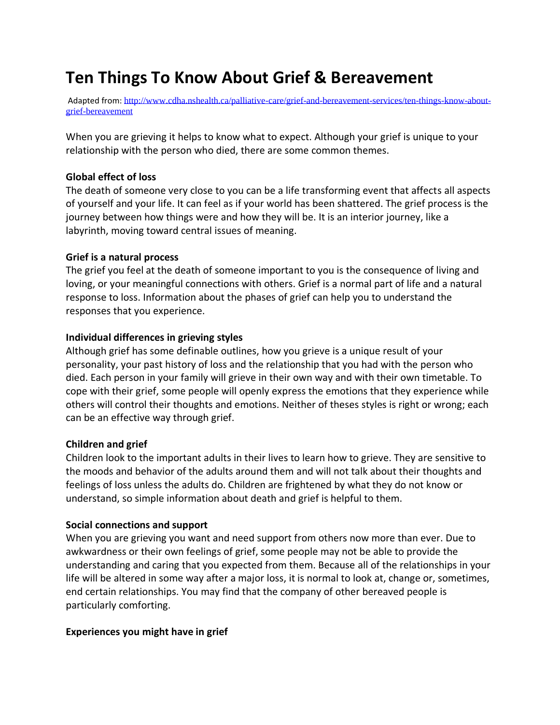# **Ten Things To Know About Grief & Bereavement**

Adapted from: [http://www.cdha.nshealth.ca/palliative-care/grief-and-bereavement-services/ten-things-know-about](http://www.cdha.nshealth.ca/palliative-care/grief-and-bereavement-services/ten-things-know-about-grief-bereavement)[grief-bereavement](http://www.cdha.nshealth.ca/palliative-care/grief-and-bereavement-services/ten-things-know-about-grief-bereavement)

When you are grieving it helps to know what to expect. Although your grief is unique to your relationship with the person who died, there are some common themes.

#### **Global effect of loss**

The death of someone very close to you can be a life transforming event that affects all aspects of yourself and your life. It can feel as if your world has been shattered. The grief process is the journey between how things were and how they will be. It is an interior journey, like a labyrinth, moving toward central issues of meaning.

#### **Grief is a natural process**

The grief you feel at the death of someone important to you is the consequence of living and loving, or your meaningful connections with others. Grief is a normal part of life and a natural response to loss. Information about the phases of grief can help you to understand the responses that you experience.

#### **Individual differences in grieving styles**

Although grief has some definable outlines, how you grieve is a unique result of your personality, your past history of loss and the relationship that you had with the person who died. Each person in your family will grieve in their own way and with their own timetable. To cope with their grief, some people will openly express the emotions that they experience while others will control their thoughts and emotions. Neither of theses styles is right or wrong; each can be an effective way through grief.

#### **Children and grief**

Children look to the important adults in their lives to learn how to grieve. They are sensitive to the moods and behavior of the adults around them and will not talk about their thoughts and feelings of loss unless the adults do. Children are frightened by what they do not know or understand, so simple information about death and grief is helpful to them.

#### **Social connections and support**

When you are grieving you want and need support from others now more than ever. Due to awkwardness or their own feelings of grief, some people may not be able to provide the understanding and caring that you expected from them. Because all of the relationships in your life will be altered in some way after a major loss, it is normal to look at, change or, sometimes, end certain relationships. You may find that the company of other bereaved people is particularly comforting.

#### **Experiences you might have in grief**